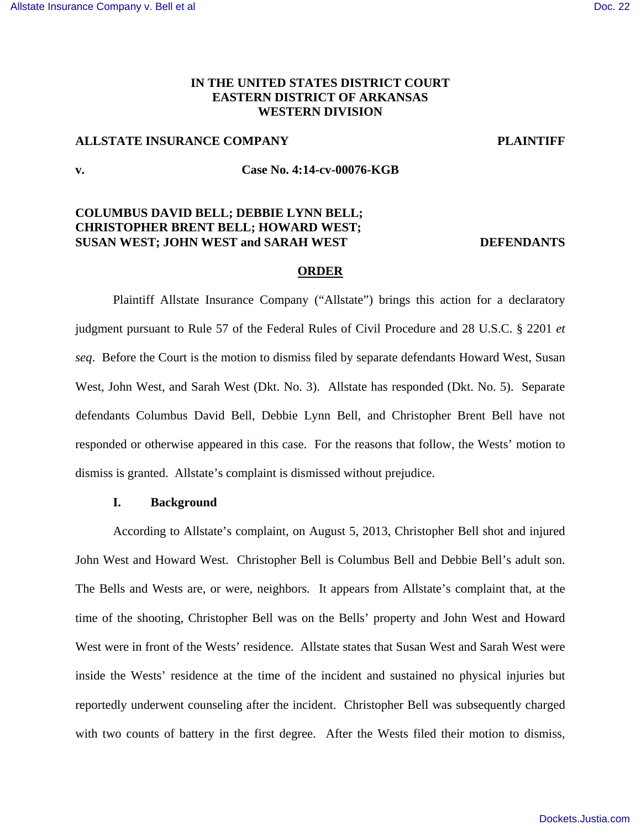## **IN THE UNITED STATES DISTRICT COURT EASTERN DISTRICT OF ARKANSAS WESTERN DIVISION**

## **ALLSTATE INSURANCE COMPANY PLAINTIFF**

### **v. Case No. 4:14-cv-00076-KGB**

# **COLUMBUS DAVID BELL; DEBBIE LYNN BELL; CHRISTOPHER BRENT BELL; HOWARD WEST; SUSAN WEST; JOHN WEST and SARAH WEST DEFENDANTS**

### **ORDER**

Plaintiff Allstate Insurance Company ("Allstate") brings this action for a declaratory judgment pursuant to Rule 57 of the Federal Rules of Civil Procedure and 28 U.S.C. § 2201 *et seq*. Before the Court is the motion to dismiss filed by separate defendants Howard West, Susan West, John West, and Sarah West (Dkt. No. 3). Allstate has responded (Dkt. No. 5). Separate defendants Columbus David Bell, Debbie Lynn Bell, and Christopher Brent Bell have not responded or otherwise appeared in this case. For the reasons that follow, the Wests' motion to dismiss is granted. Allstate's complaint is dismissed without prejudice.

# **I. Background**

According to Allstate's complaint, on August 5, 2013, Christopher Bell shot and injured John West and Howard West. Christopher Bell is Columbus Bell and Debbie Bell's adult son. The Bells and Wests are, or were, neighbors. It appears from Allstate's complaint that, at the time of the shooting, Christopher Bell was on the Bells' property and John West and Howard West were in front of the Wests' residence. Allstate states that Susan West and Sarah West were inside the Wests' residence at the time of the incident and sustained no physical injuries but reportedly underwent counseling after the incident. Christopher Bell was subsequently charged with two counts of battery in the first degree. After the Wests filed their motion to dismiss,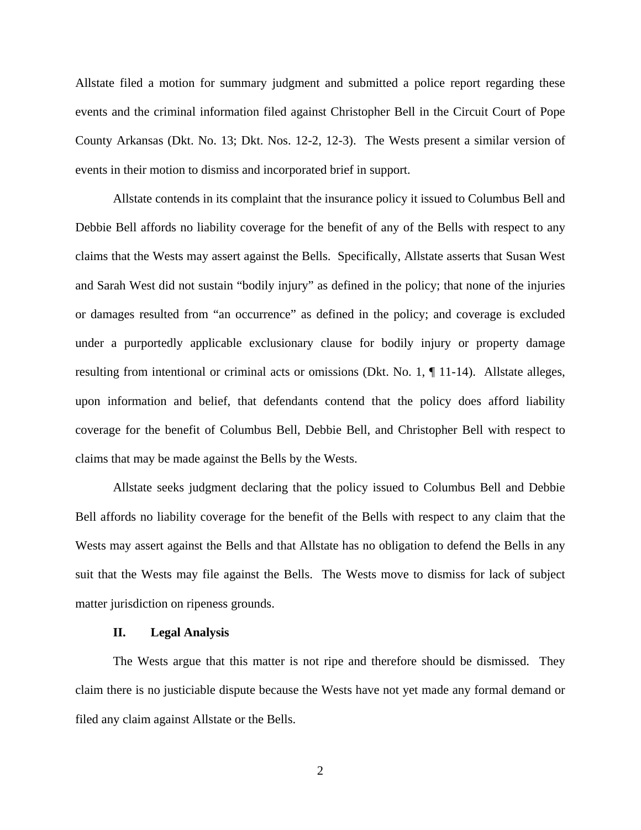Allstate filed a motion for summary judgment and submitted a police report regarding these events and the criminal information filed against Christopher Bell in the Circuit Court of Pope County Arkansas (Dkt. No. 13; Dkt. Nos. 12-2, 12-3). The Wests present a similar version of events in their motion to dismiss and incorporated brief in support.

Allstate contends in its complaint that the insurance policy it issued to Columbus Bell and Debbie Bell affords no liability coverage for the benefit of any of the Bells with respect to any claims that the Wests may assert against the Bells. Specifically, Allstate asserts that Susan West and Sarah West did not sustain "bodily injury" as defined in the policy; that none of the injuries or damages resulted from "an occurrence" as defined in the policy; and coverage is excluded under a purportedly applicable exclusionary clause for bodily injury or property damage resulting from intentional or criminal acts or omissions (Dkt. No. 1, ¶ 11-14). Allstate alleges, upon information and belief, that defendants contend that the policy does afford liability coverage for the benefit of Columbus Bell, Debbie Bell, and Christopher Bell with respect to claims that may be made against the Bells by the Wests.

Allstate seeks judgment declaring that the policy issued to Columbus Bell and Debbie Bell affords no liability coverage for the benefit of the Bells with respect to any claim that the Wests may assert against the Bells and that Allstate has no obligation to defend the Bells in any suit that the Wests may file against the Bells. The Wests move to dismiss for lack of subject matter jurisdiction on ripeness grounds.

### **II. Legal Analysis**

The Wests argue that this matter is not ripe and therefore should be dismissed. They claim there is no justiciable dispute because the Wests have not yet made any formal demand or filed any claim against Allstate or the Bells.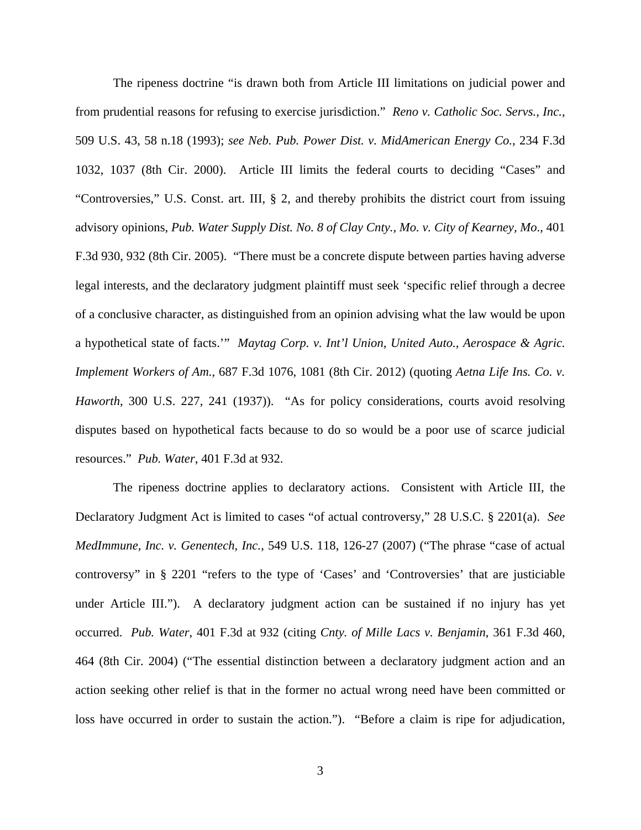The ripeness doctrine "is drawn both from Article III limitations on judicial power and from prudential reasons for refusing to exercise jurisdiction." *Reno v. Catholic Soc. Servs., Inc.*, 509 U.S. 43, 58 n.18 (1993); *see Neb. Pub. Power Dist. v. MidAmerican Energy Co.*, 234 F.3d 1032, 1037 (8th Cir. 2000). Article III limits the federal courts to deciding "Cases" and "Controversies," U.S. Const. art. III, § 2, and thereby prohibits the district court from issuing advisory opinions, *Pub. Water Supply Dist. No. 8 of Clay Cnty., Mo. v. City of Kearney, Mo*., 401 F.3d 930, 932 (8th Cir. 2005). "There must be a concrete dispute between parties having adverse legal interests, and the declaratory judgment plaintiff must seek 'specific relief through a decree of a conclusive character, as distinguished from an opinion advising what the law would be upon a hypothetical state of facts.'" *Maytag Corp. v. Int'l Union, United Auto., Aerospace & Agric. Implement Workers of Am.*, 687 F.3d 1076, 1081 (8th Cir. 2012) (quoting *Aetna Life Ins. Co. v. Haworth*, 300 U.S. 227, 241 (1937)). "As for policy considerations, courts avoid resolving disputes based on hypothetical facts because to do so would be a poor use of scarce judicial resources." *Pub. Water*, 401 F.3d at 932.

The ripeness doctrine applies to declaratory actions. Consistent with Article III, the Declaratory Judgment Act is limited to cases "of actual controversy," 28 U.S.C. § 2201(a). *See MedImmune, Inc. v. Genentech, Inc.*, 549 U.S. 118, 126-27 (2007) ("The phrase "case of actual controversy" in § 2201 "refers to the type of 'Cases' and 'Controversies' that are justiciable under Article III."). A declaratory judgment action can be sustained if no injury has yet occurred. *Pub. Water*, 401 F.3d at 932 (citing *Cnty. of Mille Lacs v. Benjamin*, 361 F.3d 460, 464 (8th Cir. 2004) ("The essential distinction between a declaratory judgment action and an action seeking other relief is that in the former no actual wrong need have been committed or loss have occurred in order to sustain the action."). "Before a claim is ripe for adjudication,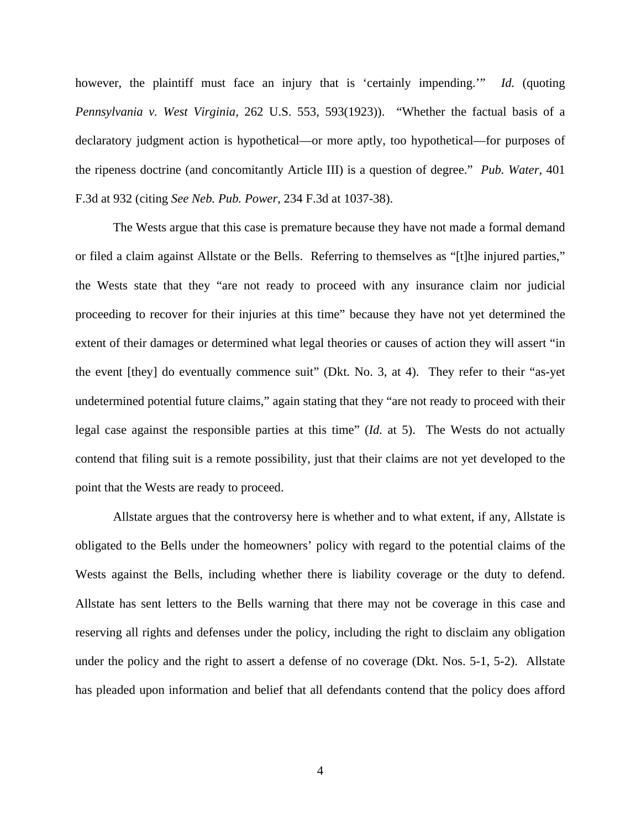however, the plaintiff must face an injury that is 'certainly impending.'" *Id.* (quoting *Pennsylvania v. West Virginia,* 262 U.S. 553, 593(1923)). "Whether the factual basis of a declaratory judgment action is hypothetical—or more aptly, too hypothetical—for purposes of the ripeness doctrine (and concomitantly Article III) is a question of degree." *Pub. Water*, 401 F.3d at 932 (citing *See Neb. Pub. Power*, 234 F.3d at 1037-38).

The Wests argue that this case is premature because they have not made a formal demand or filed a claim against Allstate or the Bells. Referring to themselves as "[t]he injured parties," the Wests state that they "are not ready to proceed with any insurance claim nor judicial proceeding to recover for their injuries at this time" because they have not yet determined the extent of their damages or determined what legal theories or causes of action they will assert "in the event [they] do eventually commence suit" (Dkt. No. 3, at 4). They refer to their "as-yet undetermined potential future claims," again stating that they "are not ready to proceed with their legal case against the responsible parties at this time" (*Id.* at 5). The Wests do not actually contend that filing suit is a remote possibility, just that their claims are not yet developed to the point that the Wests are ready to proceed.

Allstate argues that the controversy here is whether and to what extent, if any, Allstate is obligated to the Bells under the homeowners' policy with regard to the potential claims of the Wests against the Bells, including whether there is liability coverage or the duty to defend. Allstate has sent letters to the Bells warning that there may not be coverage in this case and reserving all rights and defenses under the policy, including the right to disclaim any obligation under the policy and the right to assert a defense of no coverage (Dkt. Nos. 5-1, 5-2). Allstate has pleaded upon information and belief that all defendants contend that the policy does afford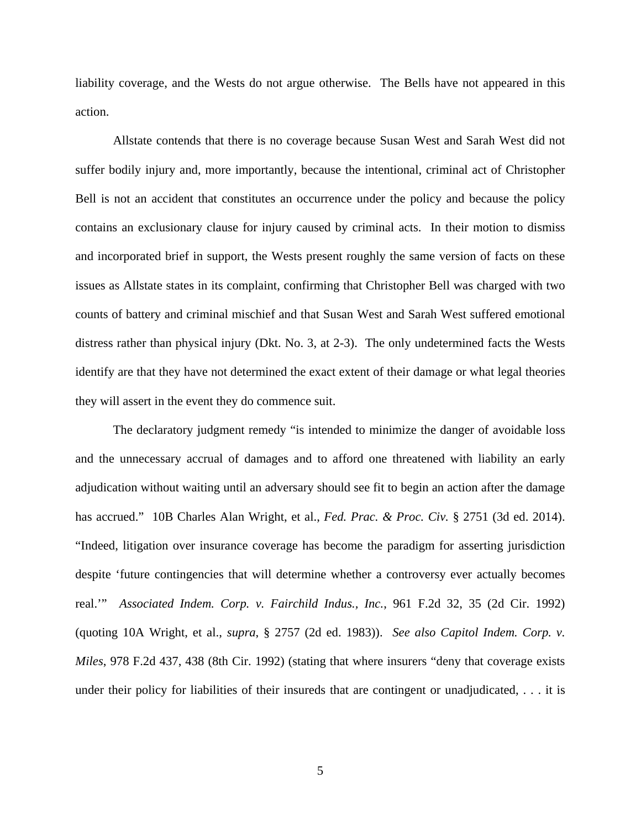liability coverage, and the Wests do not argue otherwise. The Bells have not appeared in this action.

Allstate contends that there is no coverage because Susan West and Sarah West did not suffer bodily injury and, more importantly, because the intentional, criminal act of Christopher Bell is not an accident that constitutes an occurrence under the policy and because the policy contains an exclusionary clause for injury caused by criminal acts. In their motion to dismiss and incorporated brief in support, the Wests present roughly the same version of facts on these issues as Allstate states in its complaint, confirming that Christopher Bell was charged with two counts of battery and criminal mischief and that Susan West and Sarah West suffered emotional distress rather than physical injury (Dkt. No. 3, at 2-3). The only undetermined facts the Wests identify are that they have not determined the exact extent of their damage or what legal theories they will assert in the event they do commence suit.

The declaratory judgment remedy "is intended to minimize the danger of avoidable loss and the unnecessary accrual of damages and to afford one threatened with liability an early adjudication without waiting until an adversary should see fit to begin an action after the damage has accrued." 10B Charles Alan Wright, et al., *Fed. Prac. & Proc. Civ.* § 2751 (3d ed. 2014). "Indeed, litigation over insurance coverage has become the paradigm for asserting jurisdiction despite 'future contingencies that will determine whether a controversy ever actually becomes real.'" *Associated Indem. Corp. v. Fairchild Indus., Inc.*, 961 F.2d 32, 35 (2d Cir. 1992) (quoting 10A Wright, et al., *supra*, § 2757 (2d ed. 1983)). *See also Capitol Indem. Corp. v. Miles*, 978 F.2d 437, 438 (8th Cir. 1992) (stating that where insurers "deny that coverage exists under their policy for liabilities of their insureds that are contingent or unadjudicated, . . . it is